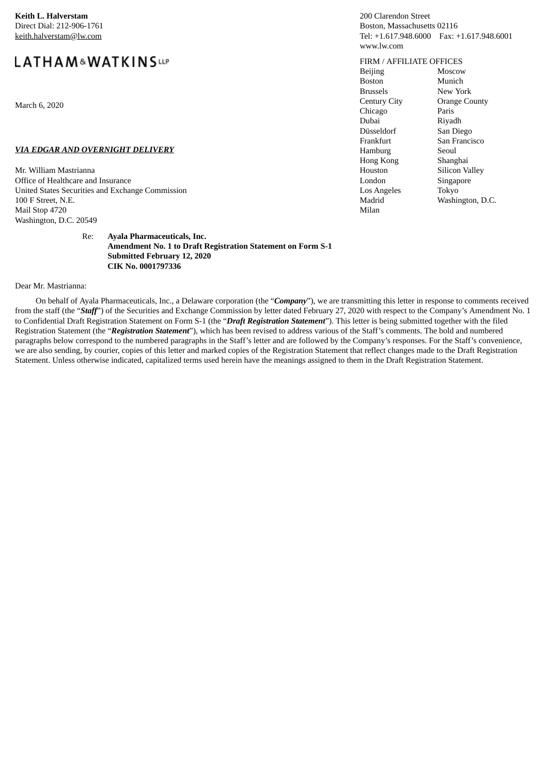**Keith L. Halverstam** Direct Dial: 212-906-1761 keith.halverstam@lw.com

# LATHAM&WATKINSLLP

March 6, 2020

### *VIA EDGAR AND OVERNIGHT DELIVERY*

Mr. William Mastrianna Office of Healthcare and Insurance United States Securities and Exchange Commission 100 F Street, N.E. Mail Stop 4720 Washington, D.C. 20549

> Re: **Ayala Pharmaceuticals, Inc. Amendment No. 1 to Draft Registration Statement on Form S-1 Submitted February 12, 2020 CIK No. 0001797336**

Dear Mr. Mastrianna:

On behalf of Ayala Pharmaceuticals, Inc., a Delaware corporation (the "*Company*"), we are transmitting this letter in response to comments received from the staff (the "*Staff*") of the Securities and Exchange Commission by letter dated February 27, 2020 with respect to the Company's Amendment No. 1 to Confidential Draft Registration Statement on Form S-1 (the "*Draft Registration Statement*"). This letter is being submitted together with the filed Registration Statement (the "*Registration Statement*"), which has been revised to address various of the Staff's comments. The bold and numbered paragraphs below correspond to the numbered paragraphs in the Staff's letter and are followed by the Company's responses. For the Staff's convenience, we are also sending, by courier, copies of this letter and marked copies of the Registration Statement that reflect changes made to the Draft Registration Statement. Unless otherwise indicated, capitalized terms used herein have the meanings assigned to them in the Draft Registration Statement.

## 200 Clarendon Street Boston, Massachusetts 02116 Tel: +1.617.948.6000 Fax: +1.617.948.6001 www.lw.com

#### FIRM / AFFILIATE OFFICES

Beijing Boston Brussels Century City Chicago Dubai Düsseldorf Frankfurt Hamburg Hong Kong Houston London Los Angeles Madrid Milan

Moscow Munich New York Orange County Paris Riyadh San Diego San Francisco Seoul Shanghai Silicon Valley Singapore Tokyo Washington, D.C.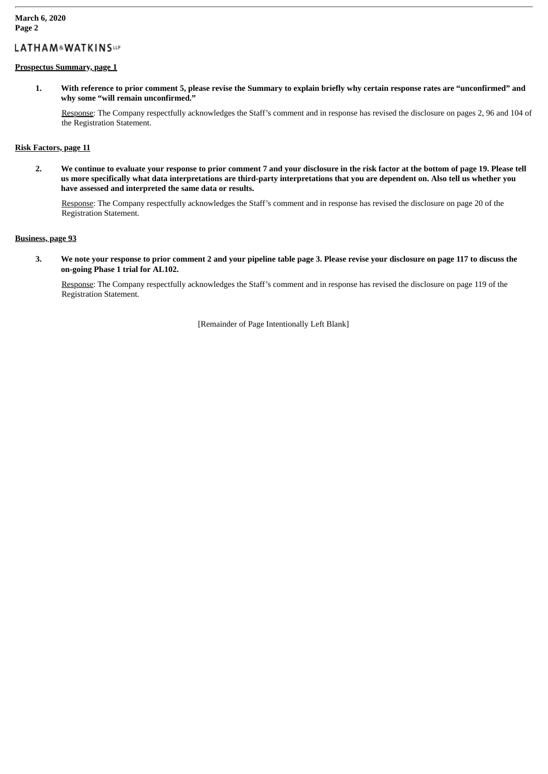## LATHAM&WATKINSup

## **Prospectus Summary, page 1**

1. With reference to prior comment 5, please revise the Summary to explain briefly why certain response rates are "unconfirmed" and **why some "will remain unconfirmed."**

Response: The Company respectfully acknowledges the Staff's comment and in response has revised the disclosure on pages 2, 96 and 104 of the Registration Statement.

## **Risk Factors, page 11**

2. We continue to evaluate your response to prior comment 7 and your disclosure in the risk factor at the bottom of page 19. Please tell us more specifically what data interpretations are third-party interpretations that you are dependent on. Also tell us whether you **have assessed and interpreted the same data or results.**

Response: The Company respectfully acknowledges the Staff's comment and in response has revised the disclosure on page 20 of the Registration Statement.

## **Business, page 93**

3. We note your response to prior comment 2 and your pipeline table page 3. Please revise your disclosure on page 117 to discuss the **on-going Phase 1 trial for AL102.**

Response: The Company respectfully acknowledges the Staff's comment and in response has revised the disclosure on page 119 of the Registration Statement.

[Remainder of Page Intentionally Left Blank]